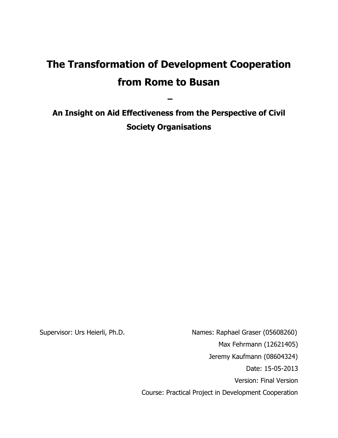# **The Transformation of Development Cooperation from Rome to Busan**

**An Insight on Aid Effectiveness from the Perspective of Civil Society Organisations**

**–**

Supervisor: Urs Heierli, Ph.D. Names: Raphael Graser (05608260) Max Fehrmann (12621405) Jeremy Kaufmann (08604324) Date: 15-05-2013 Version: Final Version Course: Practical Project in Development Cooperation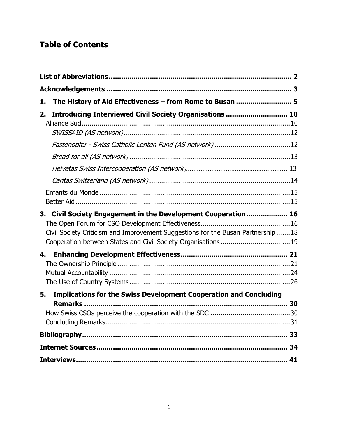## **Table of Contents**

| The History of Aid Effectiveness - from Rome to Busan  5<br>1.                                                                                                                                                       |  |
|----------------------------------------------------------------------------------------------------------------------------------------------------------------------------------------------------------------------|--|
| Introducing Interviewed Civil Society Organisations  10<br>2.                                                                                                                                                        |  |
|                                                                                                                                                                                                                      |  |
|                                                                                                                                                                                                                      |  |
|                                                                                                                                                                                                                      |  |
|                                                                                                                                                                                                                      |  |
|                                                                                                                                                                                                                      |  |
| Civil Society Engagement in the Development Cooperation 16<br>3.<br>Civil Society Criticism and Improvement Suggestions for the Busan Partnership18<br>Cooperation between States and Civil Society Organisations 19 |  |
| 4.                                                                                                                                                                                                                   |  |
| <b>Implications for the Swiss Development Cooperation and Concluding</b><br>5.                                                                                                                                       |  |
|                                                                                                                                                                                                                      |  |
|                                                                                                                                                                                                                      |  |
|                                                                                                                                                                                                                      |  |
|                                                                                                                                                                                                                      |  |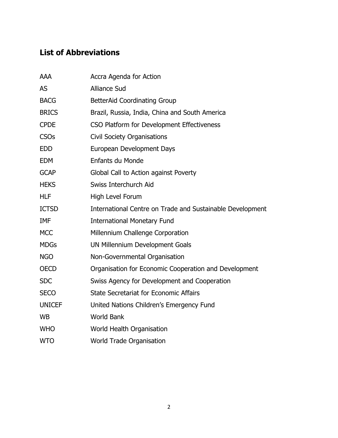## **List of Abbreviations**

| <b>AAA</b>    | Accra Agenda for Action                                   |
|---------------|-----------------------------------------------------------|
| <b>AS</b>     | <b>Alliance Sud</b>                                       |
| <b>BACG</b>   | <b>BetterAid Coordinating Group</b>                       |
| <b>BRICS</b>  | Brazil, Russia, India, China and South America            |
| <b>CPDE</b>   | CSO Platform for Development Effectiveness                |
| <b>CSOs</b>   | <b>Civil Society Organisations</b>                        |
| <b>EDD</b>    | European Development Days                                 |
| <b>EDM</b>    | Enfants du Monde                                          |
| <b>GCAP</b>   | Global Call to Action against Poverty                     |
| <b>HEKS</b>   | Swiss Interchurch Aid                                     |
| <b>HLF</b>    | High Level Forum                                          |
| <b>ICTSD</b>  | International Centre on Trade and Sustainable Development |
| IMF           | <b>International Monetary Fund</b>                        |
| <b>MCC</b>    | Millennium Challenge Corporation                          |
| <b>MDGs</b>   | UN Millennium Development Goals                           |
| <b>NGO</b>    | Non-Governmental Organisation                             |
| <b>OECD</b>   | Organisation for Economic Cooperation and Development     |
| <b>SDC</b>    | Swiss Agency for Development and Cooperation              |
| <b>SECO</b>   | <b>State Secretariat for Economic Affairs</b>             |
| <b>UNICEF</b> | United Nations Children's Emergency Fund                  |
| <b>WB</b>     | <b>World Bank</b>                                         |
| <b>WHO</b>    | World Health Organisation                                 |
| <b>WTO</b>    | <b>World Trade Organisation</b>                           |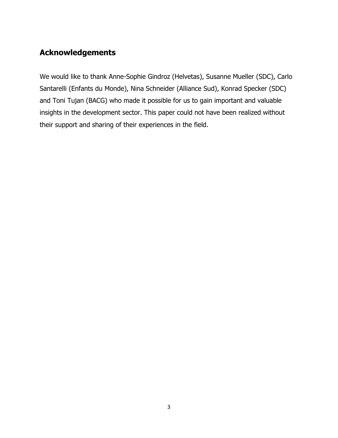## **Acknowledgements**

We would like to thank Anne-Sophie Gindroz (Helvetas), Susanne Mueller (SDC), Carlo Santarelli (Enfants du Monde), Nina Schneider (Alliance Sud), Konrad Specker (SDC) and Toni Tujan (BACG) who made it possible for us to gain important and valuable insights in the development sector. This paper could not have been realized without their support and sharing of their experiences in the field.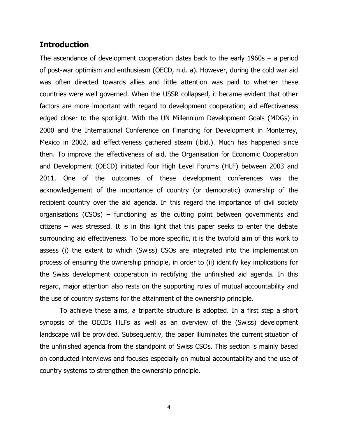### **Introduction**

The ascendance of development cooperation dates back to the early 1960s – a period of post-war optimism and enthusiasm (OECD, n.d. a). However, during the cold war aid was often directed towards allies and little attention was paid to whether these countries were well governed. When the USSR collapsed, it became evident that other factors are more important with regard to development cooperation; aid effectiveness edged closer to the spotlight. With the UN Millennium Development Goals (MDGs) in 2000 and the International Conference on Financing for Development in Monterrey, Mexico in 2002, aid effectiveness gathered steam (ibid.). Much has happened since then. To improve the effectiveness of aid, the Organisation for Economic Cooperation and Development (OECD) initiated four High Level Forums (HLF) between 2003 and 2011. One of the outcomes of these development conferences was the acknowledgement of the importance of country (or democratic) ownership of the recipient country over the aid agenda. In this regard the importance of civil society organisations (CSOs) – functioning as the cutting point between governments and citizens – was stressed. It is in this light that this paper seeks to enter the debate surrounding aid effectiveness. To be more specific, it is the twofold aim of this work to assess (i) the extent to which (Swiss) CSOs are integrated into the implementation process of ensuring the ownership principle, in order to (ii) identify key implications for the Swiss development cooperation in rectifying the unfinished aid agenda. In this regard, major attention also rests on the supporting roles of mutual accountability and the use of country systems for the attainment of the ownership principle.

To achieve these aims, a tripartite structure is adopted. In a first step a short synopsis of the OECDs HLFs as well as an overview of the (Swiss) development landscape will be provided. Subsequently, the paper illuminates the current situation of the unfinished agenda from the standpoint of Swiss CSOs. This section is mainly based on conducted interviews and focuses especially on mutual accountability and the use of country systems to strengthen the ownership principle.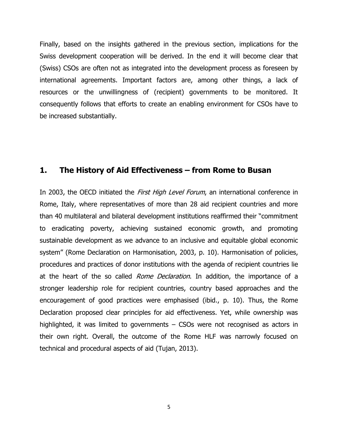Finally, based on the insights gathered in the previous section, implications for the Swiss development cooperation will be derived. In the end it will become clear that (Swiss) CSOs are often not as integrated into the development process as foreseen by international agreements. Important factors are, among other things, a lack of resources or the unwillingness of (recipient) governments to be monitored. It consequently follows that efforts to create an enabling environment for CSOs have to be increased substantially.

### **1. The History of Aid Effectiveness – from Rome to Busan**

In 2003, the OECD initiated the *First High Level Forum*, an international conference in Rome, Italy, where representatives of more than 28 aid recipient countries and more than 40 multilateral and bilateral development institutions reaffirmed their "commitment to eradicating poverty, achieving sustained economic growth, and promoting sustainable development as we advance to an inclusive and equitable global economic system" (Rome Declaration on Harmonisation, 2003, p. 10). Harmonisation of policies, procedures and practices of donor institutions with the agenda of recipient countries lie at the heart of the so called *Rome Declaration*. In addition, the importance of a stronger leadership role for recipient countries, country based approaches and the encouragement of good practices were emphasised (ibid., p. 10). Thus, the Rome Declaration proposed clear principles for aid effectiveness. Yet, while ownership was highlighted, it was limited to governments – CSOs were not recognised as actors in their own right. Overall, the outcome of the Rome HLF was narrowly focused on technical and procedural aspects of aid (Tujan, 2013).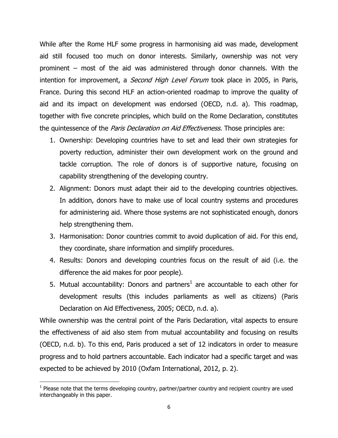While after the Rome HLF some progress in harmonising aid was made, development aid still focused too much on donor interests. Similarly, ownership was not very prominent – most of the aid was administered through donor channels. With the intention for improvement, a *Second High Level Forum* took place in 2005, in Paris, France. During this second HLF an action-oriented roadmap to improve the quality of aid and its impact on development was endorsed (OECD, n.d. a). This roadmap, together with five concrete principles, which build on the Rome Declaration, constitutes the quintessence of the *Paris Declaration on Aid Effectiveness*. Those principles are:

- 1. Ownership: Developing countries have to set and lead their own strategies for poverty reduction, administer their own development work on the ground and tackle corruption. The role of donors is of supportive nature, focusing on capability strengthening of the developing country.
- 2. Alignment: Donors must adapt their aid to the developing countries objectives. In addition, donors have to make use of local country systems and procedures for administering aid. Where those systems are not sophisticated enough, donors help strengthening them.
- 3. Harmonisation: Donor countries commit to avoid duplication of aid. For this end, they coordinate, share information and simplify procedures.
- 4. Results: Donors and developing countries focus on the result of aid (i.e. the difference the aid makes for poor people).
- 5. Mutual accountability: Donors and partners<sup>1</sup> are accountable to each other for development results (this includes parliaments as well as citizens) (Paris Declaration on Aid Effectiveness, 2005; OECD, n.d. a).

While ownership was the central point of the Paris Declaration, vital aspects to ensure the effectiveness of aid also stem from mutual accountability and focusing on results (OECD, n.d. b). To this end, Paris produced a set of 12 indicators in order to measure progress and to hold partners accountable. Each indicator had a specific target and was expected to be achieved by 2010 (Oxfam International, 2012, p. 2).

 $\overline{\phantom{a}}$  $<sup>1</sup>$  Please note that the terms developing country, partner/partner country and recipient country are used</sup> interchangeably in this paper.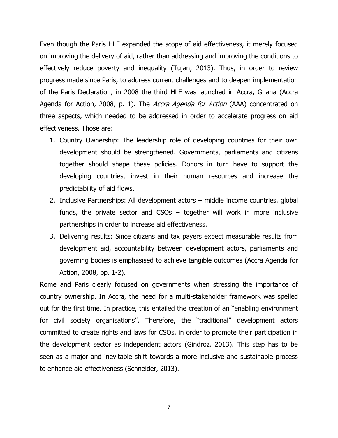Even though the Paris HLF expanded the scope of aid effectiveness, it merely focused on improving the delivery of aid, rather than addressing and improving the conditions to effectively reduce poverty and inequality (Tujan, 2013). Thus, in order to review progress made since Paris, to address current challenges and to deepen implementation of the Paris Declaration, in 2008 the third HLF was launched in Accra, Ghana (Accra Agenda for Action, 2008, p. 1). The *Accra Agenda for Action* (AAA) concentrated on three aspects, which needed to be addressed in order to accelerate progress on aid effectiveness. Those are:

- 1. Country Ownership: The leadership role of developing countries for their own development should be strengthened. Governments, parliaments and citizens together should shape these policies. Donors in turn have to support the developing countries, invest in their human resources and increase the predictability of aid flows.
- 2. Inclusive Partnerships: All development actors middle income countries, global funds, the private sector and CSOs – together will work in more inclusive partnerships in order to increase aid effectiveness.
- 3. Delivering results: Since citizens and tax payers expect measurable results from development aid, accountability between development actors, parliaments and governing bodies is emphasised to achieve tangible outcomes (Accra Agenda for Action, 2008, pp. 1-2).

Rome and Paris clearly focused on governments when stressing the importance of country ownership. In Accra, the need for a multi-stakeholder framework was spelled out for the first time. In practice, this entailed the creation of an "enabling environment for civil society organisations". Therefore, the "traditional" development actors committed to create rights and laws for CSOs, in order to promote their participation in the development sector as independent actors (Gindroz, 2013). This step has to be seen as a major and inevitable shift towards a more inclusive and sustainable process to enhance aid effectiveness (Schneider, 2013).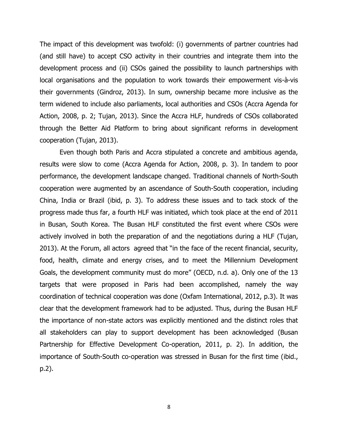The impact of this development was twofold: (i) governments of partner countries had (and still have) to accept CSO activity in their countries and integrate them into the development process and (ii) CSOs gained the possibility to launch partnerships with local organisations and the population to work towards their empowerment vis-à-vis their governments (Gindroz, 2013). In sum, ownership became more inclusive as the term widened to include also parliaments, local authorities and CSOs (Accra Agenda for Action, 2008, p. 2; Tujan, 2013). Since the Accra HLF, hundreds of CSOs collaborated through the Better Aid Platform to bring about significant reforms in development cooperation (Tujan, 2013).

Even though both Paris and Accra stipulated a concrete and ambitious agenda, results were slow to come (Accra Agenda for Action, 2008, p. 3). In tandem to poor performance, the development landscape changed. Traditional channels of North-South cooperation were augmented by an ascendance of South-South cooperation, including China, India or Brazil (ibid, p. 3). To address these issues and to tack stock of the progress made thus far, a fourth HLF was initiated, which took place at the end of 2011 in Busan, South Korea. The Busan HLF constituted the first event where CSOs were actively involved in both the preparation of and the negotiations during a HLF (Tujan, 2013). At the Forum, all actors agreed that "in the face of the recent financial, security, food, health, climate and energy crises, and to meet the Millennium Development Goals, the development community must do more" (OECD, n.d. a). Only one of the 13 targets that were proposed in Paris had been accomplished, namely the way coordination of technical cooperation was done (Oxfam International, 2012, p.3). It was clear that the development framework had to be adjusted. Thus, during the Busan HLF the importance of non-state actors was explicitly mentioned and the distinct roles that all stakeholders can play to support development has been acknowledged (Busan Partnership for Effective Development Co-operation, 2011, p. 2). In addition, the importance of South-South co-operation was stressed in Busan for the first time (ibid., p.2).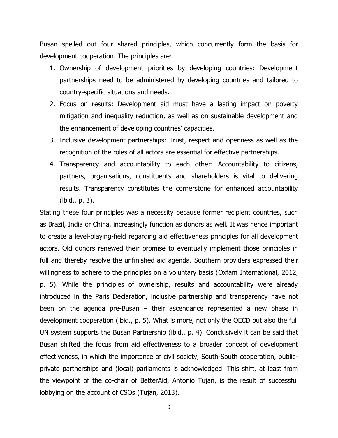Busan spelled out four shared principles, which concurrently form the basis for development cooperation. The principles are:

- 1. Ownership of development priorities by developing countries: Development partnerships need to be administered by developing countries and tailored to country-specific situations and needs.
- 2. Focus on results: Development aid must have a lasting impact on poverty mitigation and inequality reduction, as well as on sustainable development and the enhancement of developing countries' capacities.
- 3. Inclusive development partnerships: Trust, respect and openness as well as the recognition of the roles of all actors are essential for effective partnerships.
- 4. Transparency and accountability to each other: Accountability to citizens, partners, organisations, constituents and shareholders is vital to delivering results. Transparency constitutes the cornerstone for enhanced accountability (ibid., p. 3).

Stating these four principles was a necessity because former recipient countries, such as Brazil, India or China, increasingly function as donors as well. It was hence important to create a level-playing-field regarding aid effectiveness principles for all development actors. Old donors renewed their promise to eventually implement those principles in full and thereby resolve the unfinished aid agenda. Southern providers expressed their willingness to adhere to the principles on a voluntary basis (Oxfam International, 2012, p. 5). While the principles of ownership, results and accountability were already introduced in the Paris Declaration, inclusive partnership and transparency have not been on the agenda pre-Busan – their ascendance represented a new phase in development cooperation (ibid., p. 5). What is more, not only the OECD but also the full UN system supports the Busan Partnership (ibid., p. 4). Conclusively it can be said that Busan shifted the focus from aid effectiveness to a broader concept of development effectiveness, in which the importance of civil society, South-South cooperation, publicprivate partnerships and (local) parliaments is acknowledged. This shift, at least from the viewpoint of the co-chair of BetterAid, Antonio Tujan, is the result of successful lobbying on the account of CSOs (Tujan, 2013).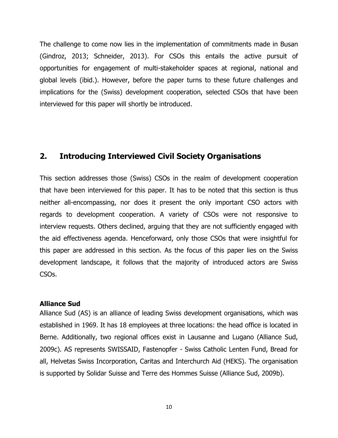The challenge to come now lies in the implementation of commitments made in Busan (Gindroz, 2013; Schneider, 2013). For CSOs this entails the active pursuit of opportunities for engagement of multi-stakeholder spaces at regional, national and global levels (ibid.). However, before the paper turns to these future challenges and implications for the (Swiss) development cooperation, selected CSOs that have been interviewed for this paper will shortly be introduced.

## **2. Introducing Interviewed Civil Society Organisations**

This section addresses those (Swiss) CSOs in the realm of development cooperation that have been interviewed for this paper. It has to be noted that this section is thus neither all-encompassing, nor does it present the only important CSO actors with regards to development cooperation. A variety of CSOs were not responsive to interview requests. Others declined, arguing that they are not sufficiently engaged with the aid effectiveness agenda. Henceforward, only those CSOs that were insightful for this paper are addressed in this section. As the focus of this paper lies on the Swiss development landscape, it follows that the majority of introduced actors are Swiss CSOs.

#### **Alliance Sud**

Alliance Sud (AS) is an alliance of leading Swiss development organisations, which was established in 1969. It has 18 employees at three locations: the head office is located in Berne. Additionally, two regional offices exist in Lausanne and Lugano (Alliance Sud, 2009c). AS represents SWISSAID, Fastenopfer - Swiss Catholic Lenten Fund, Bread for all, Helvetas Swiss Incorporation, Caritas and Interchurch Aid (HEKS). The organisation is supported by Solidar Suisse and Terre des Hommes Suisse (Alliance Sud, 2009b).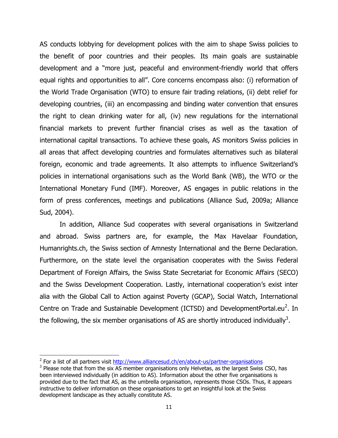AS conducts lobbying for development polices with the aim to shape Swiss policies to the benefit of poor countries and their peoples. Its main goals are sustainable development and a "more just, peaceful and environment-friendly world that offers equal rights and opportunities to all". Core concerns encompass also: (i) reformation of the World Trade Organisation (WTO) to ensure fair trading relations, (ii) debt relief for developing countries, (iii) an encompassing and binding water convention that ensures the right to clean drinking water for all, (iv) new regulations for the international financial markets to prevent further financial crises as well as the taxation of international capital transactions. To achieve these goals, AS monitors Swiss policies in all areas that affect developing countries and formulates alternatives such as bilateral foreign, economic and trade agreements. It also attempts to influence Switzerland's policies in international organisations such as the World Bank (WB), the WTO or the International Monetary Fund (IMF). Moreover, AS engages in public relations in the form of press conferences, meetings and publications (Alliance Sud, 2009a; Alliance Sud, 2004).

In addition, Alliance Sud cooperates with several organisations in Switzerland and abroad. Swiss partners are, for example, the Max Havelaar Foundation, Humanrights.ch, the Swiss section of Amnesty International and the Berne Declaration. Furthermore, on the state level the organisation cooperates with the Swiss Federal Department of Foreign Affairs, the Swiss State Secretariat for Economic Affairs (SECO) and the Swiss Development Cooperation. Lastly, international cooperation's exist inter alia with the Global Call to Action against Poverty (GCAP), Social Watch, International Centre on Trade and Sustainable Development (ICTSD) and DevelopmentPortal.eu<sup>2</sup>. In the following, the six member organisations of AS are shortly introduced individually<sup>3</sup>.

l

<sup>&</sup>lt;sup>2</sup> For a list of all partners visit<http://www.alliancesud.ch/en/about-us/partner-organisations>

 $3$  Please note that from the six AS member organisations only Helvetas, as the largest Swiss CSO, has been interviewed individually (in addition to AS). Information about the other five organisations is provided due to the fact that AS, as the umbrella organisation, represents those CSOs. Thus, it appears instructive to deliver information on these organisations to get an insightful look at the Swiss development landscape as they actually constitute AS.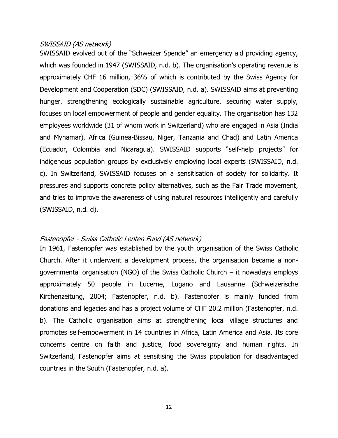#### SWISSAID (AS network)

SWISSAID evolved out of the "Schweizer Spende" an emergency aid providing agency, which was founded in 1947 (SWISSAID, n.d. b). The organisation's operating revenue is approximately CHF 16 million, 36% of which is contributed by the Swiss Agency for Development and Cooperation (SDC) (SWISSAID, n.d. a). SWISSAID aims at preventing hunger, strengthening ecologically sustainable agriculture, securing water supply, focuses on local empowerment of people and gender equality. The organisation has 132 employees worldwide (31 of whom work in Switzerland) who are engaged in Asia (India and Mynamar), Africa (Guinea-Bissau, Niger, Tanzania and Chad) and Latin America (Ecuador, Colombia and Nicaragua). SWISSAID supports "self-help projects" for indigenous population groups by exclusively employing local experts (SWISSAID, n.d. c). In Switzerland, SWISSAID focuses on a sensitisation of society for solidarity. It pressures and supports concrete policy alternatives, such as the Fair Trade movement, and tries to improve the awareness of using natural resources intelligently and carefully (SWISSAID, n.d. d).

#### Fastenopfer - Swiss Catholic Lenten Fund (AS network)

In 1961, Fastenopfer was established by the youth organisation of the Swiss Catholic Church. After it underwent a development process, the organisation became a nongovernmental organisation (NGO) of the Swiss Catholic Church – it nowadays employs approximately 50 people in Lucerne, Lugano and Lausanne (Schweizerische Kirchenzeitung, 2004; Fastenopfer, n.d. b). Fastenopfer is mainly funded from donations and legacies and has a project volume of CHF 20.2 million (Fastenopfer, n.d. b). The Catholic organisation aims at strengthening local village structures and promotes self-empowerment in 14 countries in Africa, Latin America and Asia. Its core concerns centre on faith and justice, food sovereignty and human rights. In Switzerland, Fastenopfer aims at sensitising the Swiss population for disadvantaged countries in the South (Fastenopfer, n.d. a).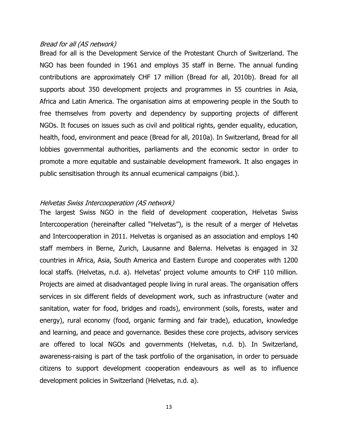#### Bread for all (AS network)

Bread for all is the Development Service of the Protestant Church of Switzerland. The NGO has been founded in 1961 and employs 35 staff in Berne. The annual funding contributions are approximately CHF 17 million (Bread for all, 2010b). Bread for all supports about 350 development projects and programmes in 55 countries in Asia, Africa and Latin America. The organisation aims at empowering people in the South to free themselves from poverty and dependency by supporting projects of different NGOs. It focuses on issues such as civil and political rights, gender equality, education, health, food, environment and peace (Bread for all, 2010a). In Switzerland, Bread for all lobbies governmental authorities, parliaments and the economic sector in order to promote a more equitable and sustainable development framework. It also engages in public sensitisation through its annual ecumenical campaigns (ibid.).

#### Helvetas Swiss Intercooperation (AS network)

The largest Swiss NGO in the field of development cooperation, Helvetas Swiss Intercooperation (hereinafter called "Helvetas"), is the result of a merger of Helvetas and Intercooperation in 2011. Helvetas is organised as an association and employs 140 staff members in Berne, Zurich, Lausanne and Balerna. Helvetas is engaged in 32 countries in Africa, Asia, South America and Eastern Europe and cooperates with 1200 local staffs. (Helvetas, n.d. a). Helvetas' project volume amounts to CHF 110 million. Projects are aimed at disadvantaged people living in rural areas. The organisation offers services in six different fields of development work, such as infrastructure (water and sanitation, water for food, bridges and roads), environment (soils, forests, water and energy), rural economy (food, organic farming and fair trade), education, knowledge and learning, and peace and governance. Besides these core projects, advisory services are offered to local NGOs and governments (Helvetas, n.d. b). In Switzerland, awareness-raising is part of the task portfolio of the organisation, in order to persuade citizens to support development cooperation endeavours as well as to influence development policies in Switzerland (Helvetas, n.d. a).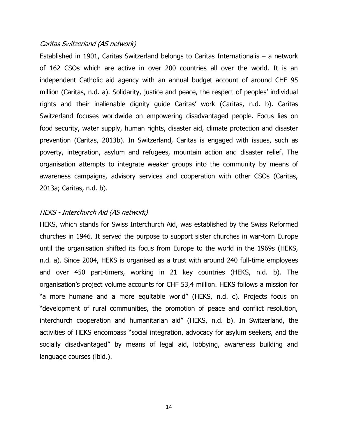#### Caritas Switzerland (AS network)

Established in 1901, Caritas Switzerland belongs to Caritas Internationalis – a network of 162 CSOs which are active in over 200 countries all over the world. It is an independent Catholic aid agency with an annual budget account of around CHF 95 million (Caritas, n.d. a). Solidarity, justice and peace, the respect of peoples' individual rights and their inalienable dignity guide Caritas' work (Caritas, n.d. b). Caritas Switzerland focuses worldwide on empowering disadvantaged people. Focus lies on food security, water supply, human rights, disaster aid, climate protection and disaster prevention (Caritas, 2013b). In Switzerland, Caritas is engaged with issues, such as poverty, integration, asylum and refugees, mountain action and disaster relief. The organisation attempts to integrate weaker groups into the community by means of awareness campaigns, advisory services and cooperation with other CSOs (Caritas, 2013a; Caritas, n.d. b).

#### HEKS - Interchurch Aid (AS network)

HEKS, which stands for Swiss Interchurch Aid, was established by the Swiss Reformed churches in 1946. It served the purpose to support sister churches in war-torn Europe until the organisation shifted its focus from Europe to the world in the 1969s (HEKS, n.d. a). Since 2004, HEKS is organised as a trust with around 240 full-time employees and over 450 part-timers, working in 21 key countries (HEKS, n.d. b). The organisation's project volume accounts for CHF 53,4 million. HEKS follows a mission for "a more humane and a more equitable world" (HEKS, n.d. c). Projects focus on "development of rural communities, the promotion of peace and conflict resolution, interchurch cooperation and humanitarian aid" (HEKS, n.d. b). In Switzerland, the activities of HEKS encompass "social integration, advocacy for asylum seekers, and the socially disadvantaged" by means of legal aid, lobbying, awareness building and language courses (ibid.).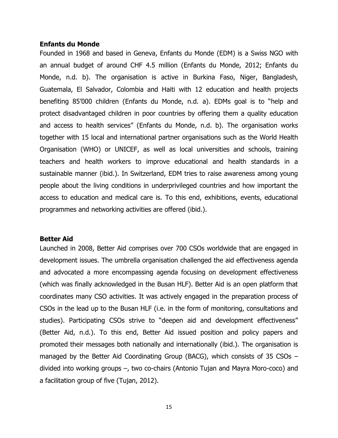#### **Enfants du Monde**

Founded in 1968 and based in Geneva, Enfants du Monde (EDM) is a Swiss NGO with an annual budget of around CHF 4.5 million (Enfants du Monde, 2012; Enfants du Monde, n.d. b). The organisation is active in Burkina Faso, Niger, Bangladesh, Guatemala, El Salvador, Colombia and Haiti with 12 education and health projects benefiting 85'000 children (Enfants du Monde, n.d. a). EDMs goal is to "help and protect disadvantaged children in poor countries by offering them a quality education and access to health services" (Enfants du Monde, n.d. b). The organisation works together with 15 local and international partner organisations such as the World Health Organisation (WHO) or UNICEF, as well as local universities and schools, training teachers and health workers to improve educational and health standards in a sustainable manner (ibid.). In Switzerland, EDM tries to raise awareness among young people about the living conditions in underprivileged countries and how important the access to education and medical care is. To this end, exhibitions, events, educational programmes and networking activities are offered (ibid.).

#### **Better Aid**

Launched in 2008, Better Aid comprises over 700 CSOs worldwide that are engaged in development issues. The umbrella organisation challenged the aid effectiveness agenda and advocated a more encompassing agenda focusing on development effectiveness (which was finally acknowledged in the Busan HLF). Better Aid is an open platform that coordinates many CSO activities. It was actively engaged in the preparation process of CSOs in the lead up to the Busan HLF (i.e. in the form of monitoring, consultations and studies). Participating CSOs strive to "deepen aid and development effectiveness" (Better Aid, n.d.). To this end, Better Aid issued position and policy papers and promoted their messages both nationally and internationally (ibid.). The organisation is managed by the Better Aid Coordinating Group (BACG), which consists of 35 CSOs – divided into working groups –, two co-chairs (Antonio Tujan and Mayra Moro-coco) and a facilitation group of five (Tujan, 2012).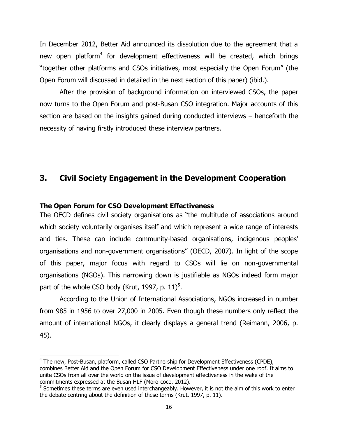In December 2012, Better Aid announced its dissolution due to the agreement that a new open platform<sup>4</sup> for development effectiveness will be created, which brings "together other platforms and CSOs initiatives, most especially the Open Forum" (the Open Forum will discussed in detailed in the next section of this paper) (ibid.).

After the provision of background information on interviewed CSOs, the paper now turns to the Open Forum and post-Busan CSO integration. Major accounts of this section are based on the insights gained during conducted interviews – henceforth the necessity of having firstly introduced these interview partners.

## **3. Civil Society Engagement in the Development Cooperation**

#### **The Open Forum for CSO Development Effectiveness**

l

The OECD defines civil society organisations as "the multitude of associations around which society voluntarily organises itself and which represent a wide range of interests and ties. These can include community-based organisations, indigenous peoples' organisations and non-government organisations" (OECD, 2007). In light of the scope of this paper, major focus with regard to CSOs will lie on non-governmental organisations (NGOs). This narrowing down is justifiable as NGOs indeed form major part of the whole CSO body (Krut, 1997, p. 11)<sup>5</sup>.

According to the Union of International Associations, NGOs increased in number from 985 in 1956 to over 27,000 in 2005. Even though these numbers only reflect the amount of international NGOs, it clearly displays a general trend (Reimann, 2006, p. 45).

<sup>&</sup>lt;sup>4</sup> The new, Post-Busan, platform, called CSO Partnership for Development Effectiveness (CPDE), combines Better Aid and the Open Forum for CSO Development Effectiveness under one roof. It aims to unite CSOs from all over the world on the issue of development effectiveness in the wake of the commitments expressed at the Busan HLF (Moro-coco, 2012).

<sup>&</sup>lt;sup>5</sup> Sometimes these terms are even used interchangeably. However, it is not the aim of this work to enter the debate centring about the definition of these terms (Krut, 1997, p. 11).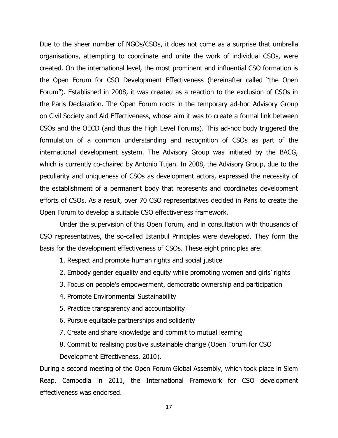Due to the sheer number of NGOs/CSOs, it does not come as a surprise that umbrella organisations, attempting to coordinate and unite the work of individual CSOs, were created. On the international level, the most prominent and influential CSO formation is the Open Forum for CSO Development Effectiveness (hereinafter called "the Open Forum"). Established in 2008, it was created as a reaction to the exclusion of CSOs in the Paris Declaration. The Open Forum roots in the temporary ad-hoc Advisory Group on Civil Society and Aid Effectiveness, whose aim it was to create a formal link between CSOs and the OECD (and thus the High Level Forums). This ad-hoc body triggered the formulation of a common understanding and recognition of CSOs as part of the international development system. The Advisory Group was initiated by the BACG, which is currently co-chaired by Antonio Tujan. In 2008, the Advisory Group, due to the peculiarity and uniqueness of CSOs as development actors, expressed the necessity of the establishment of a permanent body that represents and coordinates development efforts of CSOs. As a result, over 70 CSO representatives decided in Paris to create the Open Forum to develop a suitable CSO effectiveness framework.

Under the supervision of this Open Forum, and in consultation with thousands of CSO representatives, the so-called Istanbul Principles were developed. They form the basis for the development effectiveness of CSOs. These eight principles are:

- 1. Respect and promote human rights and social justice
- 2. Embody gender equality and equity while promoting women and girls' rights
- 3. Focus on people's empowerment, democratic ownership and participation
- 4. Promote Environmental Sustainability
- 5. Practice transparency and accountability
- 6. Pursue equitable partnerships and solidarity
- 7. Create and share knowledge and commit to mutual learning
- 8. Commit to realising positive sustainable change (Open Forum for CSO Development Effectiveness, 2010).

During a second meeting of the Open Forum Global Assembly, which took place in Siem Reap, Cambodia in 2011, the International Framework for CSO development effectiveness was endorsed.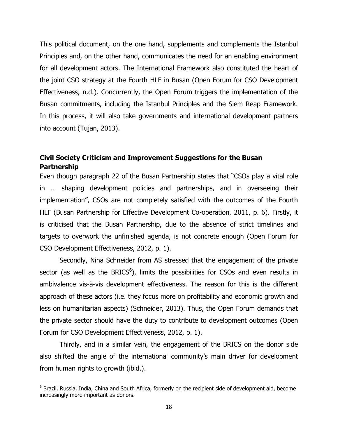This political document, on the one hand, supplements and complements the Istanbul Principles and, on the other hand, communicates the need for an enabling environment for all development actors. The International Framework also constituted the heart of the joint CSO strategy at the Fourth HLF in Busan (Open Forum for CSO Development Effectiveness, n.d.). Concurrently, the Open Forum triggers the implementation of the Busan commitments, including the Istanbul Principles and the Siem Reap Framework. In this process, it will also take governments and international development partners into account (Tujan, 2013).

## **Civil Society Criticism and Improvement Suggestions for the Busan Partnership**

Even though paragraph 22 of the Busan Partnership states that "CSOs play a vital role in … shaping development policies and partnerships, and in overseeing their implementation", CSOs are not completely satisfied with the outcomes of the Fourth HLF (Busan Partnership for Effective Development Co-operation, 2011, p. 6). Firstly, it is criticised that the Busan Partnership, due to the absence of strict timelines and targets to overwork the unfinished agenda, is not concrete enough (Open Forum for CSO Development Effectiveness, 2012, p. 1).

Secondly, Nina Schneider from AS stressed that the engagement of the private sector (as well as the BRICS $<sup>6</sup>$ ), limits the possibilities for CSOs and even results in</sup> ambivalence vis-à-vis development effectiveness. The reason for this is the different approach of these actors (i.e. they focus more on profitability and economic growth and less on humanitarian aspects) (Schneider, 2013). Thus, the Open Forum demands that the private sector should have the duty to contribute to development outcomes (Open Forum for CSO Development Effectiveness, 2012, p. 1).

Thirdly, and in a similar vein, the engagement of the BRICS on the donor side also shifted the angle of the international community's main driver for development from human rights to growth (ibid.).

 $\overline{\phantom{a}}$ 

<sup>&</sup>lt;sup>6</sup> Brazil, Russia, India, China and South Africa, formerly on the recipient side of development aid, become increasingly more important as donors.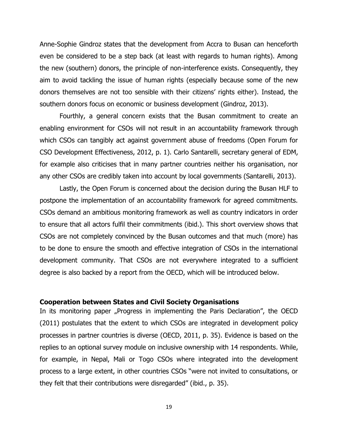Anne-Sophie Gindroz states that the development from Accra to Busan can henceforth even be considered to be a step back (at least with regards to human rights). Among the new (southern) donors, the principle of non-interference exists. Consequently, they aim to avoid tackling the issue of human rights (especially because some of the new donors themselves are not too sensible with their citizens' rights either). Instead, the southern donors focus on economic or business development (Gindroz, 2013).

Fourthly, a general concern exists that the Busan commitment to create an enabling environment for CSOs will not result in an accountability framework through which CSOs can tangibly act against government abuse of freedoms (Open Forum for CSO Development Effectiveness, 2012, p. 1). Carlo Santarelli, secretary general of EDM, for example also criticises that in many partner countries neither his organisation, nor any other CSOs are credibly taken into account by local governments (Santarelli, 2013).

Lastly, the Open Forum is concerned about the decision during the Busan HLF to postpone the implementation of an accountability framework for agreed commitments. CSOs demand an ambitious monitoring framework as well as country indicators in order to ensure that all actors fulfil their commitments (ibid.). This short overview shows that CSOs are not completely convinced by the Busan outcomes and that much (more) has to be done to ensure the smooth and effective integration of CSOs in the international development community. That CSOs are not everywhere integrated to a sufficient degree is also backed by a report from the OECD, which will be introduced below.

#### **Cooperation between States and Civil Society Organisations**

In its monitoring paper "Progress in implementing the Paris Declaration", the OECD (2011) postulates that the extent to which CSOs are integrated in development policy processes in partner countries is diverse (OECD, 2011, p. 35). Evidence is based on the replies to an optional survey module on inclusive ownership with 14 respondents. While, for example, in Nepal, Mali or Togo CSOs where integrated into the development process to a large extent, in other countries CSOs "were not invited to consultations, or they felt that their contributions were disregarded" (ibid., p. 35).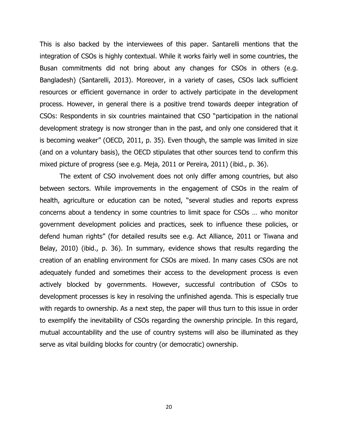This is also backed by the interviewees of this paper. Santarelli mentions that the integration of CSOs is highly contextual. While it works fairly well in some countries, the Busan commitments did not bring about any changes for CSOs in others (e.g. Bangladesh) (Santarelli, 2013). Moreover, in a variety of cases, CSOs lack sufficient resources or efficient governance in order to actively participate in the development process. However, in general there is a positive trend towards deeper integration of CSOs: Respondents in six countries maintained that CSO "participation in the national development strategy is now stronger than in the past, and only one considered that it is becoming weaker" (OECD, 2011, p. 35). Even though, the sample was limited in size (and on a voluntary basis), the OECD stipulates that other sources tend to confirm this mixed picture of progress (see e.g. Meja, 2011 or Pereira, 2011) (ibid., p. 36).

The extent of CSO involvement does not only differ among countries, but also between sectors. While improvements in the engagement of CSOs in the realm of health, agriculture or education can be noted, "several studies and reports express concerns about a tendency in some countries to limit space for CSOs … who monitor government development policies and practices, seek to influence these policies, or defend human rights" (for detailed results see e.g. Act Alliance, 2011 or Tiwana and Belay, 2010) (ibid., p. 36). In summary, evidence shows that results regarding the creation of an enabling environment for CSOs are mixed. In many cases CSOs are not adequately funded and sometimes their access to the development process is even actively blocked by governments. However, successful contribution of CSOs to development processes is key in resolving the unfinished agenda. This is especially true with regards to ownership. As a next step, the paper will thus turn to this issue in order to exemplify the inevitability of CSOs regarding the ownership principle. In this regard, mutual accountability and the use of country systems will also be illuminated as they serve as vital building blocks for country (or democratic) ownership.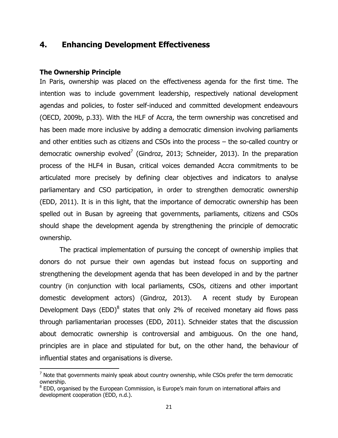## **4. Enhancing Development Effectiveness**

#### **The Ownership Principle**

 $\overline{\phantom{a}}$ 

In Paris, ownership was placed on the effectiveness agenda for the first time. The intention was to include government leadership, respectively national development agendas and policies, to foster self-induced and committed development endeavours (OECD, 2009b, p.33). With the HLF of Accra, the term ownership was concretised and has been made more inclusive by adding a democratic dimension involving parliaments and other entities such as citizens and CSOs into the process – the so-called country or democratic ownership evolved<sup>7</sup> (Gindroz, 2013; Schneider, 2013). In the preparation process of the HLF4 in Busan, critical voices demanded Accra commitments to be articulated more precisely by defining clear objectives and indicators to analyse parliamentary and CSO participation, in order to strengthen democratic ownership (EDD, 2011). It is in this light, that the importance of democratic ownership has been spelled out in Busan by agreeing that governments, parliaments, citizens and CSOs should shape the development agenda by strengthening the principle of democratic ownership.

The practical implementation of pursuing the concept of ownership implies that donors do not pursue their own agendas but instead focus on supporting and strengthening the development agenda that has been developed in and by the partner country (in conjunction with local parliaments, CSOs, citizens and other important domestic development actors) (Gindroz, 2013). A recent study by European Development Days (EDD) $^8$  states that only 2% of received monetary aid flows pass through parliamentarian processes (EDD, 2011). Schneider states that the discussion about democratic ownership is controversial and ambiguous. On the one hand, principles are in place and stipulated for but, on the other hand, the behaviour of influential states and organisations is diverse.

 $<sup>7</sup>$  Note that governments mainly speak about country ownership, while CSOs prefer the term democratic</sup> ownership.

<sup>&</sup>lt;sup>8</sup> EDD, organised by the European Commission, is Europe's main forum on international affairs and development cooperation (EDD, n.d.).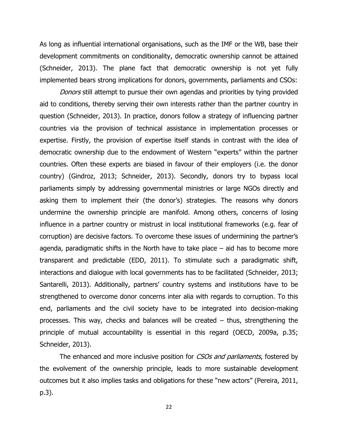As long as influential international organisations, such as the IMF or the WB, base their development commitments on conditionality, democratic ownership cannot be attained (Schneider, 2013). The plane fact that democratic ownership is not yet fully implemented bears strong implications for donors, governments, parliaments and CSOs:

Donors still attempt to pursue their own agendas and priorities by tying provided aid to conditions, thereby serving their own interests rather than the partner country in question (Schneider, 2013). In practice, donors follow a strategy of influencing partner countries via the provision of technical assistance in implementation processes or expertise. Firstly, the provision of expertise itself stands in contrast with the idea of democratic ownership due to the endowment of Western "experts" within the partner countries. Often these experts are biased in favour of their employers (i.e. the donor country) (Gindroz, 2013; Schneider, 2013). Secondly, donors try to bypass local parliaments simply by addressing governmental ministries or large NGOs directly and asking them to implement their (the donor's) strategies. The reasons why donors undermine the ownership principle are manifold. Among others, concerns of losing influence in a partner country or mistrust in local institutional frameworks (e.g. fear of corruption) are decisive factors. To overcome these issues of undermining the partner's agenda, paradigmatic shifts in the North have to take place – aid has to become more transparent and predictable (EDD, 2011). To stimulate such a paradigmatic shift, interactions and dialogue with local governments has to be facilitated (Schneider, 2013; Santarelli, 2013). Additionally, partners' country systems and institutions have to be strengthened to overcome donor concerns inter alia with regards to corruption. To this end, parliaments and the civil society have to be integrated into decision-making processes. This way, checks and balances will be created – thus, strengthening the principle of mutual accountability is essential in this regard (OECD, 2009a, p.35; Schneider, 2013).

The enhanced and more inclusive position for CSOs and parliaments, fostered by the evolvement of the ownership principle, leads to more sustainable development outcomes but it also implies tasks and obligations for these "new actors" (Pereira, 2011, p.3).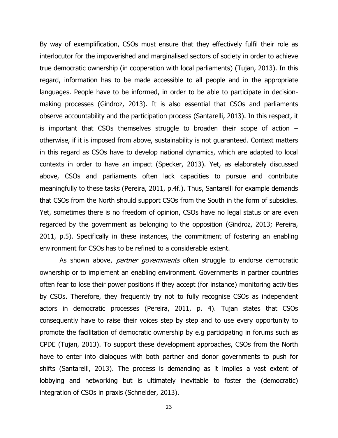By way of exemplification, CSOs must ensure that they effectively fulfil their role as interlocutor for the impoverished and marginalised sectors of society in order to achieve true democratic ownership (in cooperation with local parliaments) (Tujan, 2013). In this regard, information has to be made accessible to all people and in the appropriate languages. People have to be informed, in order to be able to participate in decisionmaking processes (Gindroz, 2013). It is also essential that CSOs and parliaments observe accountability and the participation process (Santarelli, 2013). In this respect, it is important that CSOs themselves struggle to broaden their scope of action – otherwise, if it is imposed from above, sustainability is not guaranteed. Context matters in this regard as CSOs have to develop national dynamics, which are adapted to local contexts in order to have an impact (Specker, 2013). Yet, as elaborately discussed above, CSOs and parliaments often lack capacities to pursue and contribute meaningfully to these tasks (Pereira, 2011, p.4f.). Thus, Santarelli for example demands that CSOs from the North should support CSOs from the South in the form of subsidies. Yet, sometimes there is no freedom of opinion, CSOs have no legal status or are even regarded by the government as belonging to the opposition (Gindroz, 2013; Pereira, 2011, p.5). Specifically in these instances, the commitment of fostering an enabling environment for CSOs has to be refined to a considerable extent.

As shown above, *partner governments* often struggle to endorse democratic ownership or to implement an enabling environment. Governments in partner countries often fear to lose their power positions if they accept (for instance) monitoring activities by CSOs. Therefore, they frequently try not to fully recognise CSOs as independent actors in democratic processes (Pereira, 2011, p. 4). Tujan states that CSOs consequently have to raise their voices step by step and to use every opportunity to promote the facilitation of democratic ownership by e.g participating in forums such as CPDE (Tujan, 2013). To support these development approaches, CSOs from the North have to enter into dialogues with both partner and donor governments to push for shifts (Santarelli, 2013). The process is demanding as it implies a vast extent of lobbying and networking but is ultimately inevitable to foster the (democratic) integration of CSOs in praxis (Schneider, 2013).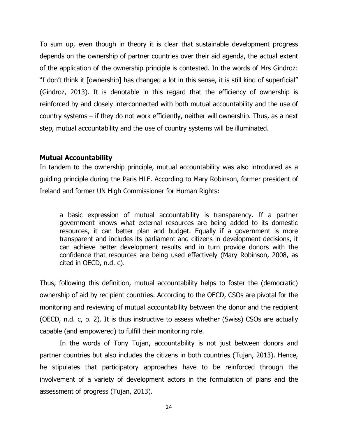To sum up, even though in theory it is clear that sustainable development progress depends on the ownership of partner countries over their aid agenda, the actual extent of the application of the ownership principle is contested. In the words of Mrs Gindroz: "I don't think it [ownership] has changed a lot in this sense, it is still kind of superficial" (Gindroz, 2013). It is denotable in this regard that the efficiency of ownership is reinforced by and closely interconnected with both mutual accountability and the use of country systems – if they do not work efficiently, neither will ownership. Thus, as a next step, mutual accountability and the use of country systems will be illuminated.

#### **Mutual Accountability**

In tandem to the ownership principle, mutual accountability was also introduced as a guiding principle during the Paris HLF. According to Mary Robinson, former president of Ireland and former UN High Commissioner for Human Rights:

a basic expression of mutual accountability is transparency. If a partner government knows what external resources are being added to its domestic resources, it can better plan and budget. Equally if a government is more transparent and includes its parliament and citizens in development decisions, it can achieve better development results and in turn provide donors with the confidence that resources are being used effectively (Mary Robinson, 2008, as cited in OECD, n.d. c).

Thus, following this definition, mutual accountability helps to foster the (democratic) ownership of aid by recipient countries. According to the OECD, CSOs are pivotal for the monitoring and reviewing of mutual accountability between the donor and the recipient (OECD, n.d. c, p. 2). It is thus instructive to assess whether (Swiss) CSOs are actually capable (and empowered) to fulfill their monitoring role.

In the words of Tony Tujan, accountability is not just between donors and partner countries but also includes the citizens in both countries (Tujan, 2013). Hence, he stipulates that participatory approaches have to be reinforced through the involvement of a variety of development actors in the formulation of plans and the assessment of progress (Tujan, 2013).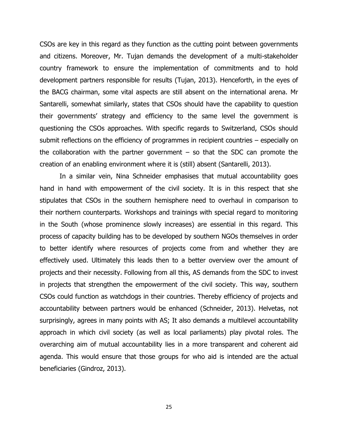CSOs are key in this regard as they function as the cutting point between governments and citizens. Moreover, Mr. Tujan demands the development of a multi-stakeholder country framework to ensure the implementation of commitments and to hold development partners responsible for results (Tujan, 2013). Henceforth, in the eyes of the BACG chairman, some vital aspects are still absent on the international arena. Mr Santarelli, somewhat similarly, states that CSOs should have the capability to question their governments' strategy and efficiency to the same level the government is questioning the CSOs approaches. With specific regards to Switzerland, CSOs should submit reflections on the efficiency of programmes in recipient countries – especially on the collaboration with the partner government  $-$  so that the SDC can promote the creation of an enabling environment where it is (still) absent (Santarelli, 2013).

In a similar vein, Nina Schneider emphasises that mutual accountability goes hand in hand with empowerment of the civil society. It is in this respect that she stipulates that CSOs in the southern hemisphere need to overhaul in comparison to their northern counterparts. Workshops and trainings with special regard to monitoring in the South (whose prominence slowly increases) are essential in this regard. This process of capacity building has to be developed by southern NGOs themselves in order to better identify where resources of projects come from and whether they are effectively used. Ultimately this leads then to a better overview over the amount of projects and their necessity. Following from all this, AS demands from the SDC to invest in projects that strengthen the empowerment of the civil society. This way, southern CSOs could function as watchdogs in their countries. Thereby efficiency of projects and accountability between partners would be enhanced (Schneider, 2013). Helvetas, not surprisingly, agrees in many points with AS; It also demands a multilevel accountability approach in which civil society (as well as local parliaments) play pivotal roles. The overarching aim of mutual accountability lies in a more transparent and coherent aid agenda. This would ensure that those groups for who aid is intended are the actual beneficiaries (Gindroz, 2013).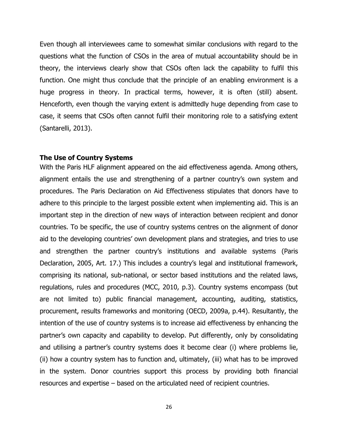Even though all interviewees came to somewhat similar conclusions with regard to the questions what the function of CSOs in the area of mutual accountability should be in theory, the interviews clearly show that CSOs often lack the capability to fulfil this function. One might thus conclude that the principle of an enabling environment is a huge progress in theory. In practical terms, however, it is often (still) absent. Henceforth, even though the varying extent is admittedly huge depending from case to case, it seems that CSOs often cannot fulfil their monitoring role to a satisfying extent (Santarelli, 2013).

#### **The Use of Country Systems**

With the Paris HLF alignment appeared on the aid effectiveness agenda. Among others, alignment entails the use and strengthening of a partner country's own system and procedures. The Paris Declaration on Aid Effectiveness stipulates that donors have to adhere to this principle to the largest possible extent when implementing aid. This is an important step in the direction of new ways of interaction between recipient and donor countries. To be specific, the use of country systems centres on the alignment of donor aid to the developing countries' own development plans and strategies, and tries to use and strengthen the partner country's institutions and available systems (Paris Declaration, 2005, Art. 17.) This includes a country's legal and institutional framework, comprising its national, sub-national, or sector based institutions and the related laws, regulations, rules and procedures (MCC, 2010, p.3). Country systems encompass (but are not limited to) public financial management, accounting, auditing, statistics, procurement, results frameworks and monitoring (OECD, 2009a, p.44). Resultantly, the intention of the use of country systems is to increase aid effectiveness by enhancing the partner's own capacity and capability to develop. Put differently, only by consolidating and utilising a partner's country systems does it become clear (i) where problems lie, (ii) how a country system has to function and, ultimately, (iii) what has to be improved in the system. Donor countries support this process by providing both financial resources and expertise – based on the articulated need of recipient countries.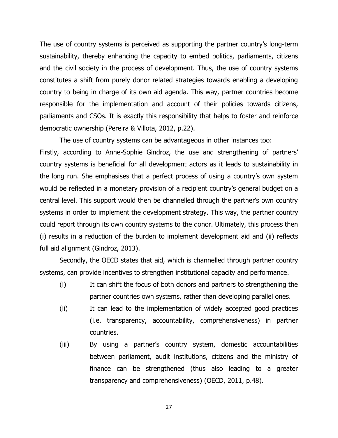The use of country systems is perceived as supporting the partner country's long-term sustainability, thereby enhancing the capacity to embed politics, parliaments, citizens and the civil society in the process of development. Thus, the use of country systems constitutes a shift from purely donor related strategies towards enabling a developing country to being in charge of its own aid agenda. This way, partner countries become responsible for the implementation and account of their policies towards citizens, parliaments and CSOs. It is exactly this responsibility that helps to foster and reinforce democratic ownership (Pereira & Villota, 2012, p.22).

The use of country systems can be advantageous in other instances too: Firstly, according to Anne-Sophie Gindroz, the use and strengthening of partners' country systems is beneficial for all development actors as it leads to sustainability in the long run. She emphasises that a perfect process of using a country's own system would be reflected in a monetary provision of a recipient country's general budget on a central level. This support would then be channelled through the partner's own country systems in order to implement the development strategy. This way, the partner country could report through its own country systems to the donor. Ultimately, this process then (i) results in a reduction of the burden to implement development aid and (ii) reflects full aid alignment (Gindroz, 2013).

Secondly, the OECD states that aid, which is channelled through partner country systems, can provide incentives to strengthen institutional capacity and performance.

- (i) It can shift the focus of both donors and partners to strengthening the partner countries own systems, rather than developing parallel ones.
- (ii) It can lead to the implementation of widely accepted good practices (i.e. transparency, accountability, comprehensiveness) in partner countries.
- (iii) By using a partner's country system, domestic accountabilities between parliament, audit institutions, citizens and the ministry of finance can be strengthened (thus also leading to a greater transparency and comprehensiveness) (OECD, 2011, p.48).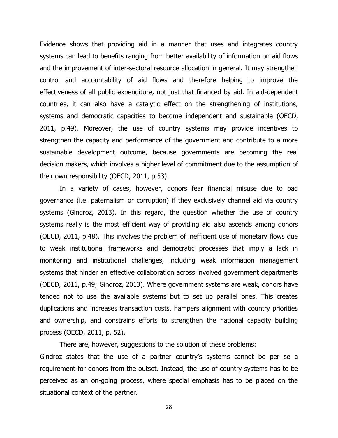Evidence shows that providing aid in a manner that uses and integrates country systems can lead to benefits ranging from better availability of information on aid flows and the improvement of inter-sectoral resource allocation in general. It may strengthen control and accountability of aid flows and therefore helping to improve the effectiveness of all public expenditure, not just that financed by aid. In aid-dependent countries, it can also have a catalytic effect on the strengthening of institutions, systems and democratic capacities to become independent and sustainable (OECD, 2011, p.49). Moreover, the use of country systems may provide incentives to strengthen the capacity and performance of the government and contribute to a more sustainable development outcome, because governments are becoming the real decision makers, which involves a higher level of commitment due to the assumption of their own responsibility (OECD, 2011, p.53).

In a variety of cases, however, donors fear financial misuse due to bad governance (i.e. paternalism or corruption) if they exclusively channel aid via country systems (Gindroz, 2013). In this regard, the question whether the use of country systems really is the most efficient way of providing aid also ascends among donors (OECD, 2011, p.48). This involves the problem of inefficient use of monetary flows due to weak institutional frameworks and democratic processes that imply a lack in monitoring and institutional challenges, including weak information management systems that hinder an effective collaboration across involved government departments (OECD, 2011, p.49; Gindroz, 2013). Where government systems are weak, donors have tended not to use the available systems but to set up parallel ones. This creates duplications and increases transaction costs, hampers alignment with country priorities and ownership, and constrains efforts to strengthen the national capacity building process (OECD, 2011, p. 52).

There are, however, suggestions to the solution of these problems:

Gindroz states that the use of a partner country's systems cannot be per se a requirement for donors from the outset. Instead, the use of country systems has to be perceived as an on-going process, where special emphasis has to be placed on the situational context of the partner.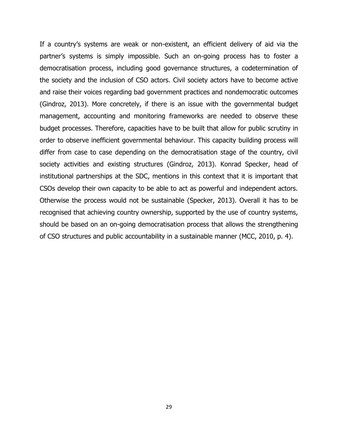If a country's systems are weak or non-existent, an efficient delivery of aid via the partner's systems is simply impossible. Such an on-going process has to foster a democratisation process, including good governance structures, a codetermination of the society and the inclusion of CSO actors. Civil society actors have to become active and raise their voices regarding bad government practices and nondemocratic outcomes (Gindroz, 2013). More concretely, if there is an issue with the governmental budget management, accounting and monitoring frameworks are needed to observe these budget processes. Therefore, capacities have to be built that allow for public scrutiny in order to observe inefficient governmental behaviour. This capacity building process will differ from case to case depending on the democratisation stage of the country, civil society activities and existing structures (Gindroz, 2013). Konrad Specker, head of institutional partnerships at the SDC, mentions in this context that it is important that CSOs develop their own capacity to be able to act as powerful and independent actors. Otherwise the process would not be sustainable (Specker, 2013). Overall it has to be recognised that achieving country ownership, supported by the use of country systems, should be based on an on-going democratisation process that allows the strengthening of CSO structures and public accountability in a sustainable manner (MCC, 2010, p. 4).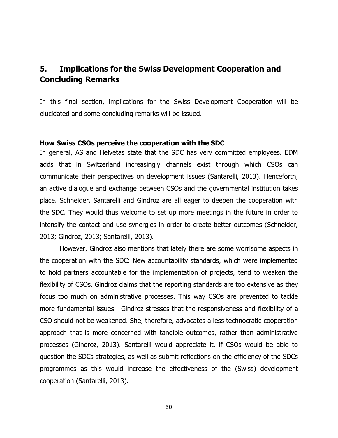## **5. Implications for the Swiss Development Cooperation and Concluding Remarks**

In this final section, implications for the Swiss Development Cooperation will be elucidated and some concluding remarks will be issued.

#### **How Swiss CSOs perceive the cooperation with the SDC**

In general, AS and Helvetas state that the SDC has very committed employees. EDM adds that in Switzerland increasingly channels exist through which CSOs can communicate their perspectives on development issues (Santarelli, 2013). Henceforth, an active dialogue and exchange between CSOs and the governmental institution takes place. Schneider, Santarelli and Gindroz are all eager to deepen the cooperation with the SDC. They would thus welcome to set up more meetings in the future in order to intensify the contact and use synergies in order to create better outcomes (Schneider, 2013; Gindroz, 2013; Santarelli, 2013).

However, Gindroz also mentions that lately there are some worrisome aspects in the cooperation with the SDC: New accountability standards, which were implemented to hold partners accountable for the implementation of projects, tend to weaken the flexibility of CSOs. Gindroz claims that the reporting standards are too extensive as they focus too much on administrative processes. This way CSOs are prevented to tackle more fundamental issues. Gindroz stresses that the responsiveness and flexibility of a CSO should not be weakened. She, therefore, advocates a less technocratic cooperation approach that is more concerned with tangible outcomes, rather than administrative processes (Gindroz, 2013). Santarelli would appreciate it, if CSOs would be able to question the SDCs strategies, as well as submit reflections on the efficiency of the SDCs programmes as this would increase the effectiveness of the (Swiss) development cooperation (Santarelli, 2013).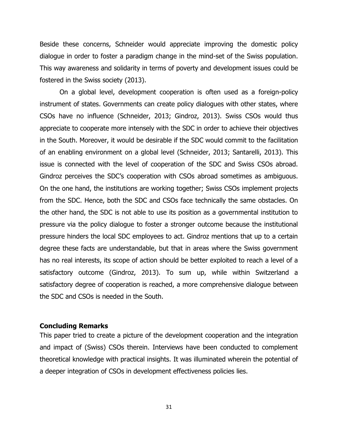Beside these concerns, Schneider would appreciate improving the domestic policy dialogue in order to foster a paradigm change in the mind-set of the Swiss population. This way awareness and solidarity in terms of poverty and development issues could be fostered in the Swiss society (2013).

On a global level, development cooperation is often used as a foreign-policy instrument of states. Governments can create policy dialogues with other states, where CSOs have no influence (Schneider, 2013; Gindroz, 2013). Swiss CSOs would thus appreciate to cooperate more intensely with the SDC in order to achieve their objectives in the South. Moreover, it would be desirable if the SDC would commit to the facilitation of an enabling environment on a global level (Schneider, 2013; Santarelli, 2013). This issue is connected with the level of cooperation of the SDC and Swiss CSOs abroad. Gindroz perceives the SDC's cooperation with CSOs abroad sometimes as ambiguous. On the one hand, the institutions are working together; Swiss CSOs implement projects from the SDC. Hence, both the SDC and CSOs face technically the same obstacles. On the other hand, the SDC is not able to use its position as a governmental institution to pressure via the policy dialogue to foster a stronger outcome because the institutional pressure hinders the local SDC employees to act. Gindroz mentions that up to a certain degree these facts are understandable, but that in areas where the Swiss government has no real interests, its scope of action should be better exploited to reach a level of a satisfactory outcome (Gindroz, 2013). To sum up, while within Switzerland a satisfactory degree of cooperation is reached, a more comprehensive dialogue between the SDC and CSOs is needed in the South.

#### **Concluding Remarks**

This paper tried to create a picture of the development cooperation and the integration and impact of (Swiss) CSOs therein. Interviews have been conducted to complement theoretical knowledge with practical insights. It was illuminated wherein the potential of a deeper integration of CSOs in development effectiveness policies lies.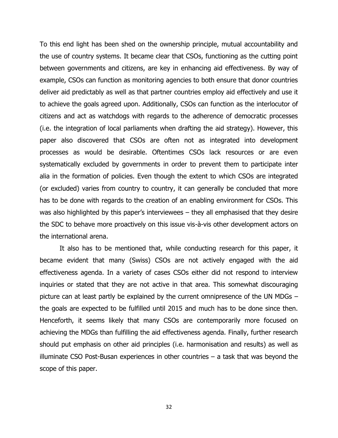To this end light has been shed on the ownership principle, mutual accountability and the use of country systems. It became clear that CSOs, functioning as the cutting point between governments and citizens, are key in enhancing aid effectiveness. By way of example, CSOs can function as monitoring agencies to both ensure that donor countries deliver aid predictably as well as that partner countries employ aid effectively and use it to achieve the goals agreed upon. Additionally, CSOs can function as the interlocutor of citizens and act as watchdogs with regards to the adherence of democratic processes (i.e. the integration of local parliaments when drafting the aid strategy). However, this paper also discovered that CSOs are often not as integrated into development processes as would be desirable. Oftentimes CSOs lack resources or are even systematically excluded by governments in order to prevent them to participate inter alia in the formation of policies. Even though the extent to which CSOs are integrated (or excluded) varies from country to country, it can generally be concluded that more has to be done with regards to the creation of an enabling environment for CSOs. This was also highlighted by this paper's interviewees – they all emphasised that they desire the SDC to behave more proactively on this issue vis-à-vis other development actors on the international arena.

It also has to be mentioned that, while conducting research for this paper, it became evident that many (Swiss) CSOs are not actively engaged with the aid effectiveness agenda. In a variety of cases CSOs either did not respond to interview inquiries or stated that they are not active in that area. This somewhat discouraging picture can at least partly be explained by the current omnipresence of the UN MDGs – the goals are expected to be fulfilled until 2015 and much has to be done since then. Henceforth, it seems likely that many CSOs are contemporarily more focused on achieving the MDGs than fulfilling the aid effectiveness agenda. Finally, further research should put emphasis on other aid principles (i.e. harmonisation and results) as well as illuminate CSO Post-Busan experiences in other countries – a task that was beyond the scope of this paper.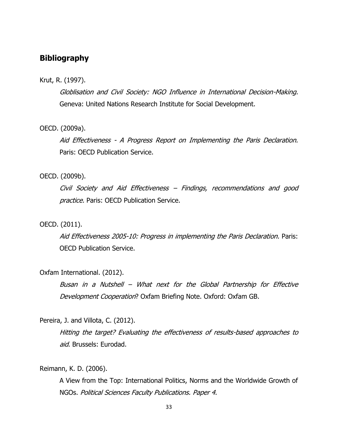## **Bibliography**

#### Krut, R. (1997).

Globlisation and Civil Society: NGO Influence in International Decision-Making. Geneva: United Nations Research Institute for Social Development.

#### OECD. (2009a).

Aid Effectiveness - A Progress Report on Implementing the Paris Declaration. Paris: OECD Publication Service.

#### OECD. (2009b).

Civil Society and Aid Effectiveness – Findings, recommendations and good practice. Paris: OECD Publication Service.

#### OECD. (2011).

Aid Effectiveness 2005-10: Progress in implementing the Paris Declaration. Paris: OECD Publication Service.

#### Oxfam International. (2012).

Busan in a Nutshell – What next for the Global Partnership for Effective Development Cooperation? Oxfam Briefing Note. Oxford: Oxfam GB.

#### Pereira, J. and Villota, C. (2012).

Hitting the target? Evaluating the effectiveness of results-based approaches to aid. Brussels: Eurodad.

Reimann, K. D. (2006).

A View from the Top: International Politics, Norms and the Worldwide Growth of NGOs. Political Sciences Faculty Publications. Paper 4.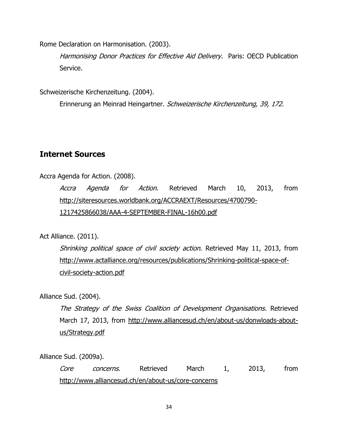Rome Declaration on Harmonisation. (2003).

Harmonising Donor Practices for Effective Aid Delivery. Paris: OECD Publication Service.

Schweizerische Kirchenzeitung. (2004).

Erinnerung an Meinrad Heingartner. Schweizerische Kirchenzeitung, 39, 172.

## **Internet Sources**

### Accra Agenda for Action. (2008).

Accra Agenda for Action. Retrieved March 10, 2013, from [http://siteresources.worldbank.org/ACCRAEXT/Resources/4700790-](http://siteresources.worldbank.org/ACCRAEXT/Resources/4700790-1217425866038/AAA-4-SEPTEMBER-FINAL-16h00.pdf) [1217425866038/AAA-4-SEPTEMBER-FINAL-16h00.pdf](http://siteresources.worldbank.org/ACCRAEXT/Resources/4700790-1217425866038/AAA-4-SEPTEMBER-FINAL-16h00.pdf)

Act Alliance. (2011).

Shrinking political space of civil society action. Retrieved May 11, 2013, from [http://www.actalliance.org/resources/publications/Shrinking-political-space-of](http://www.actalliance.org/resources/publications/Shrinking-political-space-of-civil-society-action.pdf)[civil-society-action.pdf](http://www.actalliance.org/resources/publications/Shrinking-political-space-of-civil-society-action.pdf)

Alliance Sud. (2004).

The Strategy of the Swiss Coalition of Development Organisations. Retrieved March 17, 2013, from [http://www.alliancesud.ch/en/about-us/donwloads-about](http://www.alliancesud.ch/en/about-us/donwloads-about-us/Strategy.pdf)[us/Strategy.pdf](http://www.alliancesud.ch/en/about-us/donwloads-about-us/Strategy.pdf)

Alliance Sud. (2009a).

Core concerns. Retrieved March 1, 2013, from <http://www.alliancesud.ch/en/about-us/core-concerns>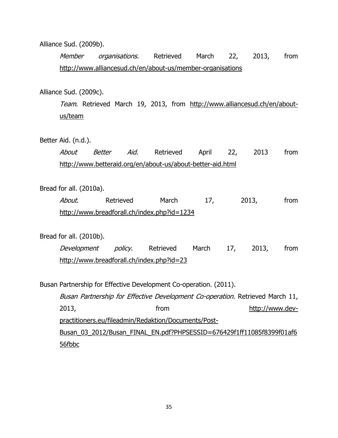#### Alliance Sud. (2009b).

Member organisations. Retrieved March 22, 2013, from <http://www.alliancesud.ch/en/about-us/member-organisations>

#### Alliance Sud. (2009c).

Team. Retrieved March 19, 2013, from [http://www.alliancesud.ch/en/about](http://www.alliancesud.ch/en/about-us/team)[us/team](http://www.alliancesud.ch/en/about-us/team)

#### Better Aid. (n.d.).

|                                                            |  |  | <i>About Better Aid</i> . Retrieved April 22, 2013 from |  |  |  |  |  |
|------------------------------------------------------------|--|--|---------------------------------------------------------|--|--|--|--|--|
| http://www.betteraid.org/en/about-us/about-better-aid.html |  |  |                                                         |  |  |  |  |  |

#### Bread for all. (2010a).

About. Retrieved March 17, 2013, from <http://www.breadforall.ch/index.php?id=1234>

#### Bread for all. (2010b).

Development policy. Retrieved March 17, 2013, from <http://www.breadforall.ch/index.php?id=23>

Busan Partnership for Effective Development Co-operation. (2011). Busan Partnership for Effective Development Co-operation. Retrieved March 11, 2013, from [http://www.dev](http://www.dev-practitioners.eu/fileadmin/Redaktion/Documents/Post-Busan_03_2012/Busan_FINAL_EN.pdf?PHPSESSID=676429f1ff11085f8399f01af656fbbc)[practitioners.eu/fileadmin/Redaktion/Documents/Post-](http://www.dev-practitioners.eu/fileadmin/Redaktion/Documents/Post-Busan_03_2012/Busan_FINAL_EN.pdf?PHPSESSID=676429f1ff11085f8399f01af656fbbc)[Busan\\_03\\_2012/Busan\\_FINAL\\_EN.pdf?PHPSESSID=676429f1ff11085f8399f01af6](http://www.dev-practitioners.eu/fileadmin/Redaktion/Documents/Post-Busan_03_2012/Busan_FINAL_EN.pdf?PHPSESSID=676429f1ff11085f8399f01af656fbbc) [56fbbc](http://www.dev-practitioners.eu/fileadmin/Redaktion/Documents/Post-Busan_03_2012/Busan_FINAL_EN.pdf?PHPSESSID=676429f1ff11085f8399f01af656fbbc)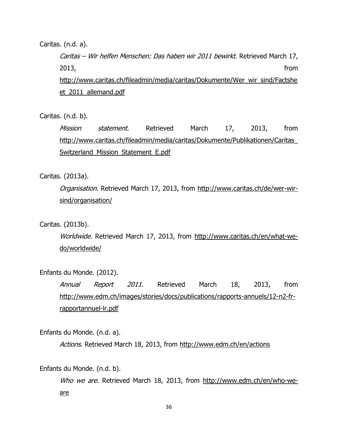#### Caritas. (n.d. a).

Caritas – Wir helfen Menschen: Das haben wir 2011 bewirkt. Retrieved March 17, 2013, from [http://www.caritas.ch/fileadmin/media/caritas/Dokumente/Wer\\_wir\\_sind/Factshe](http://www.caritas.ch/fileadmin/media/caritas/Dokumente/Wer_wir_sind/Factsheet_2011_allemand.pdf) et 2011 allemand.pdf

Caritas. (n.d. b).

Mission statement. Retrieved March 17, 2013, from [http://www.caritas.ch/fileadmin/media/caritas/Dokumente/Publikationen/Caritas\\_](http://www.caritas.ch/fileadmin/media/caritas/Dokumente/Publikationen/Caritas_Switzerland_Mission_Statement_E.pdf) [Switzerland\\_Mission\\_Statement\\_E.pdf](http://www.caritas.ch/fileadmin/media/caritas/Dokumente/Publikationen/Caritas_Switzerland_Mission_Statement_E.pdf)

Caritas. (2013a).

Organisation. Retrieved March 17, 2013, from [http://www.caritas.ch/de/wer-wir](http://www.caritas.ch/de/wer-wir-sind/organisation/)[sind/organisation/](http://www.caritas.ch/de/wer-wir-sind/organisation/)

#### Caritas. (2013b).

Worldwide. Retrieved March 17, 2013, from [http://www.caritas.ch/en/what-we](http://www.caritas.ch/en/what-we-do/worldwide/)[do/worldwide/](http://www.caritas.ch/en/what-we-do/worldwide/)

#### Enfants du Monde. (2012).

Annual Report 2011. Retrieved March 18, 2013, from [http://www.edm.ch/images/stories/docs/publications/rapports-annuels/12-n2-fr](http://www.edm.ch/images/stories/docs/publications/rapports-annuels/12-n2-fr-rapportannuel-lr.pdf)[rapportannuel-lr.pdf](http://www.edm.ch/images/stories/docs/publications/rapports-annuels/12-n2-fr-rapportannuel-lr.pdf)

Enfants du Monde. (n.d. a).

Actions. Retrieved March 18, 2013, from<http://www.edm.ch/en/actions>

Enfants du Monde. (n.d. b).

Who we are. Retrieved March 18, 2013, from [http://www.edm.ch/en/who-we](http://www.edm.ch/en/who-we-are)[are](http://www.edm.ch/en/who-we-are)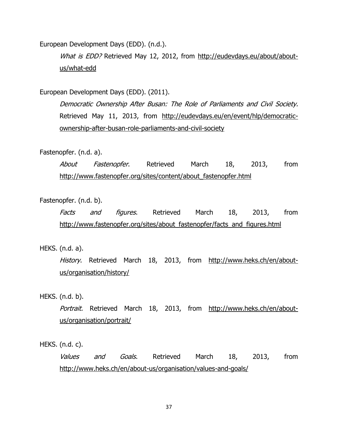European Development Days (EDD). (n.d.).

What is EDD? Retrieved May 12, 2012, from [http://eudevdays.eu/about/about](http://eudevdays.eu/about/about-us/what-edd)[us/what-edd](http://eudevdays.eu/about/about-us/what-edd)

European Development Days (EDD). (2011).

Democratic Ownership After Busan: The Role of Parliaments and Civil Society. Retrieved May 11, 2013, from [http://eudevdays.eu/en/event/hlp/democratic](http://eudevdays.eu/en/event/hlp/democratic-ownership-after-busan-role-parliaments-and-civil-society)[ownership-after-busan-role-parliaments-and-civil-society](http://eudevdays.eu/en/event/hlp/democratic-ownership-after-busan-role-parliaments-and-civil-society)

#### Fastenopfer. (n.d. a).

About Fastenopfer. Retrieved March 18, 2013, from [http://www.fastenopfer.org/sites/content/about\\_fastenopfer.html](http://www.fastenopfer.org/sites/content/about_fastenopfer.html)

#### Fastenopfer. (n.d. b).

Facts and figures. Retrieved March 18, 2013, from http://www.fastenopfer.org/sites/about\_fastenopfer/facts\_and\_figures.html

#### HEKS. (n.d. a).

History. Retrieved March 18, 2013, from [http://www.heks.ch/en/about](http://www.heks.ch/en/about-us/organisation/history/)[us/organisation/history/](http://www.heks.ch/en/about-us/organisation/history/)

HEKS. (n.d. b).

Portrait. Retrieved March 18, 2013, from [http://www.heks.ch/en/about](http://www.heks.ch/en/about-us/organisation/portrait/)[us/organisation/portrait/](http://www.heks.ch/en/about-us/organisation/portrait/)

HEKS. (n.d. c).

Values and Goals. Retrieved March 18, 2013, from <http://www.heks.ch/en/about-us/organisation/values-and-goals/>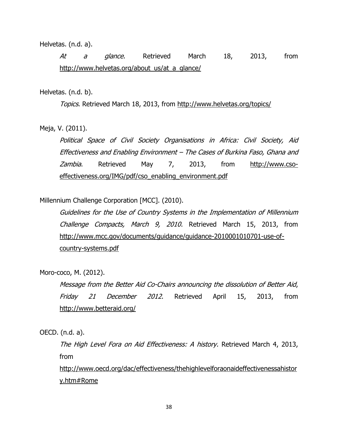Helvetas. (n.d. a).

At a glance. Retrieved March 18, 2013, from [http://www.helvetas.org/about\\_us/at\\_a\\_glance/](http://www.helvetas.org/about_us/at_a_glance/)

#### Helvetas. (n.d. b).

Topics. Retrieved March 18, 2013, from<http://www.helvetas.org/topics/>

Meja, V. (2011).

Political Space of Civil Society Organisations in Africa: Civil Society, Aid Effectiveness and Enabling Environment – The Cases of Burkina Faso, Ghana and Zambia. Retrieved May 7, 2013, from [http://www.cso](http://www.cso-effectiveness.org/IMG/pdf/cso_enabling_environment.pdf)[effectiveness.org/IMG/pdf/cso\\_enabling\\_environment.pdf](http://www.cso-effectiveness.org/IMG/pdf/cso_enabling_environment.pdf)

Millennium Challenge Corporation [MCC]. (2010).

Guidelines for the Use of Country Systems in the Implementation of Millennium Challenge Compacts, March 9, 2010. Retrieved March 15, 2013, from [http://www.mcc.gov/documents/guidance/guidance-2010001010701-use-of](http://www.mcc.gov/documents/guidance/guidance-2010001010701-use-of-country-systems.pdf)[country-systems.pdf](http://www.mcc.gov/documents/guidance/guidance-2010001010701-use-of-country-systems.pdf)

Moro-coco, M. (2012).

Message from the Better Aid Co-Chairs announcing the dissolution of Better Aid, Friday 21 December 2012. Retrieved April 15, 2013, from <http://www.betteraid.org/>

OECD. (n.d. a).

The High Level Fora on Aid Effectiveness: A history. Retrieved March 4, 2013, from

[http://www.oecd.org/dac/effectiveness/thehighlevelforaonaideffectivenessahistor](http://www.oecd.org/dac/effectiveness/thehighlevelforaonaideffectivenessahistory.htm#Rome) [y.htm#Rome](http://www.oecd.org/dac/effectiveness/thehighlevelforaonaideffectivenessahistory.htm#Rome)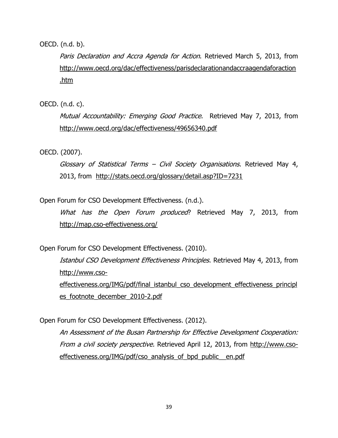OECD. (n.d. b).

Paris Declaration and Accra Agenda for Action. Retrieved March 5, 2013, from [http://www.oecd.org/dac/effectiveness/parisdeclarationandaccraagendaforaction](http://www.oecd.org/dac/effectiveness/parisdeclarationandaccraagendaforaction.htm) [.htm](http://www.oecd.org/dac/effectiveness/parisdeclarationandaccraagendaforaction.htm)

OECD. (n.d. c).

Mutual Accountability: Emerging Good Practice. Retrieved May 7, 2013, from <http://www.oecd.org/dac/effectiveness/49656340.pdf>

OECD. (2007).

Glossary of Statistical Terms – Civil Society Organisations. Retrieved May 4, 2013, from <http://stats.oecd.org/glossary/detail.asp?ID=7231>

Open Forum for CSO Development Effectiveness. (n.d.).

What has the Open Forum produced? Retrieved May 7, 2013, from <http://map.cso-effectiveness.org/>

Open Forum for CSO Development Effectiveness. (2010).

Istanbul CSO Development Effectiveness Principles. Retrieved May 4, 2013, from [http://www.cso](http://www.cso-effectiveness.org/IMG/pdf/final_istanbul_cso_development_effectiveness_principles_footnote_december_2010-2.pdf)[effectiveness.org/IMG/pdf/final\\_istanbul\\_cso\\_development\\_effectiveness\\_principl](http://www.cso-effectiveness.org/IMG/pdf/final_istanbul_cso_development_effectiveness_principles_footnote_december_2010-2.pdf) es footnote december 2010-2.pdf

Open Forum for CSO Development Effectiveness. (2012).

An Assessment of the Busan Partnership for Effective Development Cooperation: From a civil society perspective. Retrieved April 12, 2013, from [http://www.cso](http://www.cso-effectiveness.org/IMG/pdf/cso_analysis_of_bpd_public__en.pdf)[effectiveness.org/IMG/pdf/cso\\_analysis\\_of\\_bpd\\_public\\_\\_en.pdf](http://www.cso-effectiveness.org/IMG/pdf/cso_analysis_of_bpd_public__en.pdf)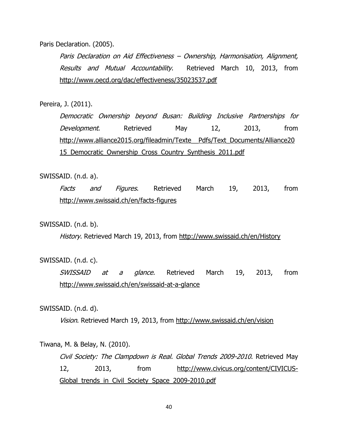Paris Declaration. (2005).

Paris Declaration on Aid Effectiveness – Ownership, Harmonisation, Alignment, Results and Mutual Accountability. Retrieved March 10, 2013, from <http://www.oecd.org/dac/effectiveness/35023537.pdf>

Pereira, J. (2011).

Democratic Ownership beyond Busan: Building Inclusive Partnerships for Development. Retrieved May 12, 2013, from [http://www.alliance2015.org/fileadmin/Texte\\_\\_Pdfs/Text\\_Documents/Alliance20](http://www.alliance2015.org/fileadmin/Texte__Pdfs/Text_Documents/Alliance2015_Democratic_Ownership_Cross_Country_Synthesis_2011.pdf) [15\\_Democratic\\_Ownership\\_Cross\\_Country\\_Synthesis\\_2011.pdf](http://www.alliance2015.org/fileadmin/Texte__Pdfs/Text_Documents/Alliance2015_Democratic_Ownership_Cross_Country_Synthesis_2011.pdf)

SWISSAID. (n.d. a).

Facts and Figures. Retrieved March 19, 2013, from <http://www.swissaid.ch/en/facts-figures>

#### SWISSAID. (n.d. b).

History. Retrieved March 19, 2013, from<http://www.swissaid.ch/en/History>

#### SWISSAID. (n.d. c).

SWISSAID at a glance. Retrieved March 19, 2013, from <http://www.swissaid.ch/en/swissaid-at-a-glance>

#### SWISSAID. (n.d. d).

Vision. Retrieved March 19, 2013, from<http://www.swissaid.ch/en/vision>

#### Tiwana, M. & Belay, N. (2010).

Civil Society: The Clampdown is Real. Global Trends 2009-2010. Retrieved May 12, 2013, from [http://www.civicus.org/content/CIVICUS-](http://www.civicus.org/content/CIVICUS-Global_trends_in_Civil_Society_Space_2009-2010.pdf)Global trends in Civil Society Space 2009-2010.pdf